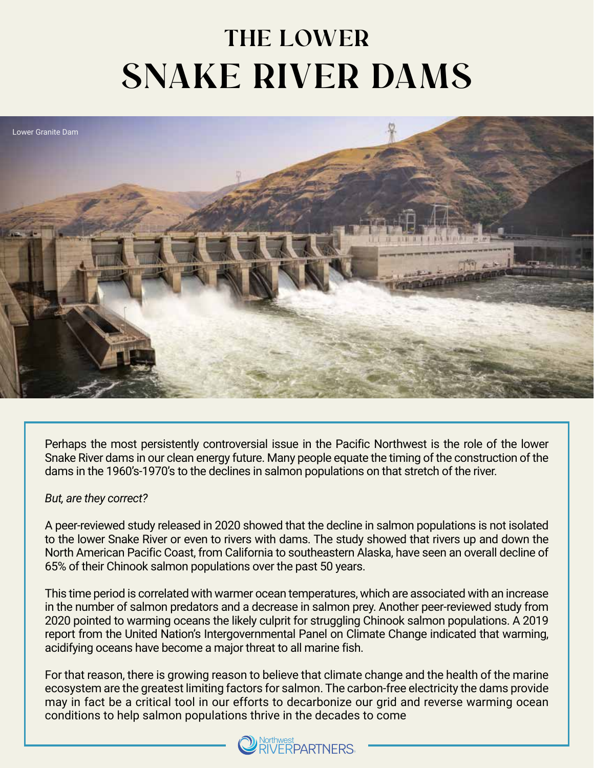## **THE LOWER SNAKE RIVER DAMS**



Perhaps the most persistently controversial issue in the Pacific Northwest is the role of the lower Snake River dams in our clean energy future. Many people equate the timing of the construction of the dams in the 1960's-1970's to the declines in salmon populations on that stretch of the river.

## *But, are they correct?*

A peer-reviewed study released in 2020 showed that the decline in salmon populations is not isolated to the lower Snake River or even to rivers with dams. The study showed that rivers up and down the North American Pacific Coast, from California to southeastern Alaska, have seen an overall decline of 65% of their Chinook salmon populations over the past 50 years.

This time period is correlated with warmer ocean temperatures, which are associated with an increase in the number of salmon predators and a decrease in salmon prey. Another peer-reviewed study from 2020 pointed to warming oceans the likely culprit for struggling Chinook salmon populations. A 2019 report from the United Nation's Intergovernmental Panel on Climate Change indicated that warming, acidifying oceans have become a major threat to all marine fish.

For that reason, there is growing reason to believe that climate change and the health of the marine ecosystem are the greatest limiting factors for salmon. The carbon-free electricity the dams provide may in fact be a critical tool in our efforts to decarbonize our grid and reverse warming ocean conditions to help salmon populations thrive in the decades to come